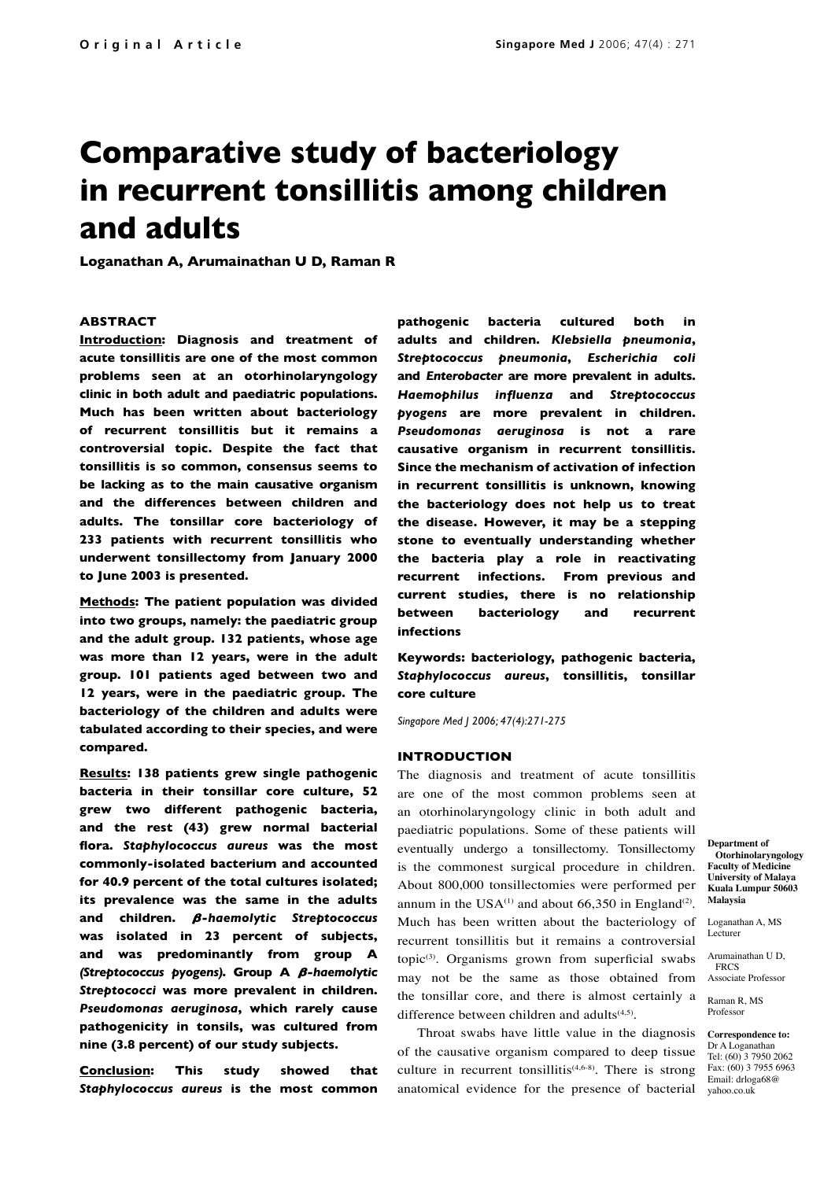# **Comparative study of bacteriology in recurrent tonsillitis among children and adults**

**Loganathan A, Arumainathan U D, Raman R**

### **ABSTRACT**

**Introduction: Diagnosis and treatment of acute tonsillitis are one of the most common problems seen at an otorhinolaryngology clinic in both adult and paediatric populations. Much has been written about bacteriology of recurrent tonsillitis but it remains a controversial topic. Despite the fact that tonsillitis is so common, consensus seems to be lacking as to the main causative organism and the differences between children and adults. The tonsillar core bacteriology of 233 patients with recurrent tonsillitis who underwent tonsillectomy from January 2000 to June 2003 is presented.** 

**Methods: The patient population was divided into two groups, namely: the paediatric group and the adult group. 132 patients, whose age was more than 12 years, were in the adult group. 101 patients aged between two and 12 years, were in the paediatric group. The bacteriology of the children and adults were tabulated according to their species, and were compared.**

**Results: 138 patients grew single pathogenic bacteria in their tonsillar core culture, 52 grew two different pathogenic bacteria, and the rest (43) grew normal bacterial flora.** *Staphylococcus aureus* **was the most commonly-isolated bacterium and accounted for 40.9 percent of the total cultures isolated; its prevalence was the same in the adults**  and children.  $\beta$ -haemolytic Streptococcus **was isolated in 23 percent of subjects, and was predominantly from group A**  *(Streptococcus pyogens)***. Group A** *-haemolytic Streptococci* **was more prevalent in children.**  *Pseudomonas aeruginosa***, which rarely cause pathogenicity in tonsils, was cultured from nine (3.8 percent) of our study subjects.**

**Conclusion: This study showed that**  *Staphylococcus aureus* **is the most common** **pathogenic bacteria cultured both in adults and children.** *Klebsiella pneumonia***,**  *Streptococcus pneumonia***,** *Escherichia coli*  **and** *Enterobacter* **are more prevalent in adults.**  *Haemophilus influenza* **and** *Streptococcus pyogens* **are more prevalent in children.**  *Pseudomonas aeruginosa* **is not a rare causative organism in recurrent tonsillitis. Since the mechanism of activation of infection in recurrent tonsillitis is unknown, knowing the bacteriology does not help us to treat the disease. However, it may be a stepping stone to eventually understanding whether the bacteria play a role in reactivating recurrent infections. From previous and current studies, there is no relationship between bacteriology and recurrent infections**

**Keywords: bacteriology, pathogenic bacteria,**  *Staphylococcus aureus***, tonsillitis, tonsillar core culture**

*Singapore Med J 2006; 47(4):271-275*

#### **INTRODUCTION**

The diagnosis and treatment of acute tonsillitis are one of the most common problems seen at an otorhinolaryngology clinic in both adult and paediatric populations. Some of these patients will eventually undergo a tonsillectomy. Tonsillectomy is the commonest surgical procedure in children. About 800,000 tonsillectomies were performed per annum in the USA $^{(1)}$  and about 66,350 in England<sup>(2)</sup>. Much has been written about the bacteriology of recurrent tonsillitis but it remains a controversial  $topic^{(3)}$ . Organisms grown from superficial swabs may not be the same as those obtained from the tonsillar core, and there is almost certainly a difference between children and adults $(4,5)$ .

Throat swabs have little value in the diagnosis of the causative organism compared to deep tissue culture in recurrent tonsillitis<sup> $(4,6-8)$ </sup>. There is strong anatomical evidence for the presence of bacterial

**Department of Otorhinolaryngology Faculty of Medicine University of Malaya Kuala Lumpur 50603 Malaysia**

Loganathan A, MS Lecturer

Arumainathan U D, **FRCS** Associate Professor

Raman R, MS Professor

**Correspondence to:** Dr A Loganathan Tel: (60) 3 7950 2062 Fax: (60) 3 7955 6963 Email: drloga68@ yahoo.co.uk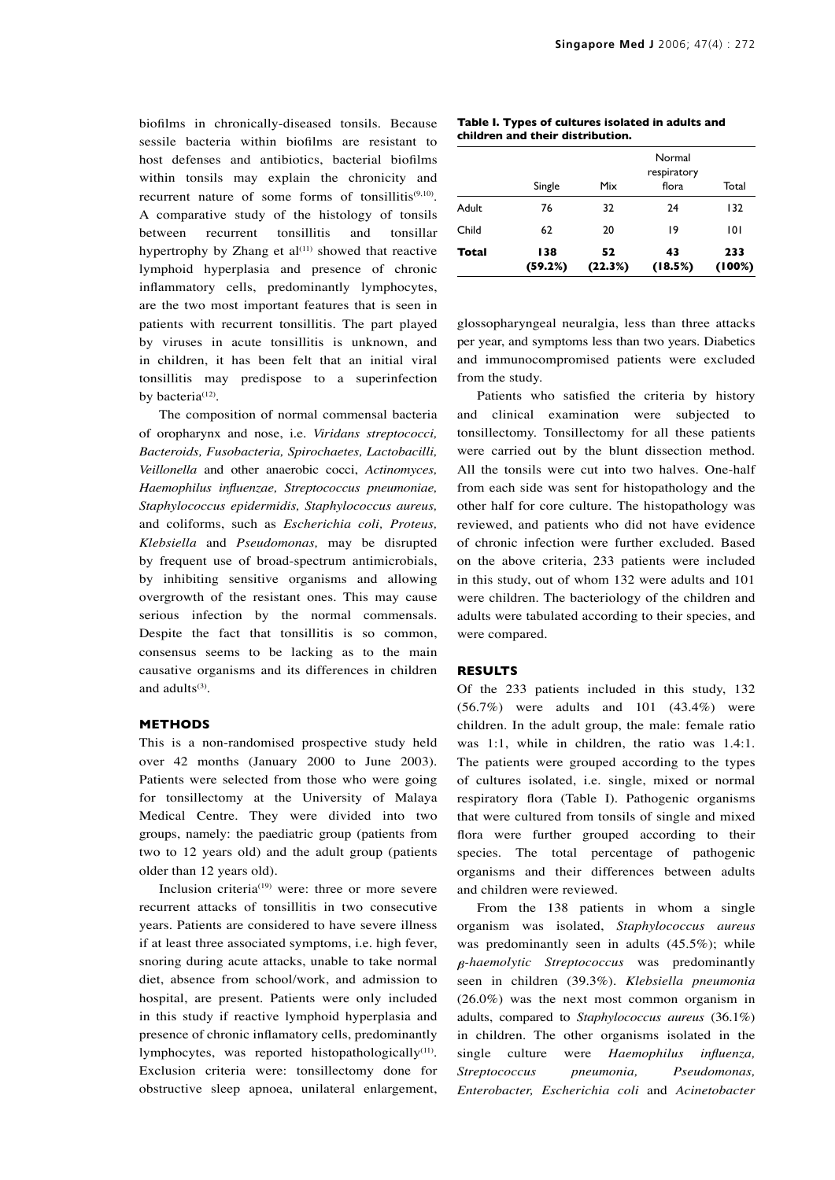biofilms in chronically-diseased tonsils. Because sessile bacteria within biofilms are resistant to host defenses and antibiotics, bacterial biofilms within tonsils may explain the chronicity and recurrent nature of some forms of tonsillitis $(9,10)$ . A comparative study of the histology of tonsils between recurrent tonsillitis and tonsillar hypertrophy by Zhang et  $al^{(11)}$  showed that reactive lymphoid hyperplasia and presence of chronic inflammatory cells, predominantly lymphocytes, are the two most important features that is seen in patients with recurrent tonsillitis. The part played by viruses in acute tonsillitis is unknown, and in children, it has been felt that an initial viral tonsillitis may predispose to a superinfection by bacteria<sup>(12)</sup>.

The composition of normal commensal bacteria of oropharynx and nose, i.e. *Viridans streptococci, Bacteroids, Fusobacteria, Spirochaetes, Lactobacilli, Veillonella* and other anaerobic cocci, *Actinomyces, Haemophilus influenzae, Streptococcus pneumoniae, Staphylococcus epidermidis, Staphylococcus aureus,* and coliforms, such as *Escherichia coli, Proteus, Klebsiella* and *Pseudomonas,* may be disrupted by frequent use of broad-spectrum antimicrobials, by inhibiting sensitive organisms and allowing overgrowth of the resistant ones. This may cause serious infection by the normal commensals. Despite the fact that tonsillitis is so common, consensus seems to be lacking as to the main causative organisms and its differences in children and adults $(3)$ .

### **METHODS**

This is a non-randomised prospective study held over 42 months (January 2000 to June 2003). Patients were selected from those who were going for tonsillectomy at the University of Malaya Medical Centre. They were divided into two groups, namely: the paediatric group (patients from two to 12 years old) and the adult group (patients older than 12 years old).

Inclusion criteria<sup>(19)</sup> were: three or more severe recurrent attacks of tonsillitis in two consecutive years. Patients are considered to have severe illness if at least three associated symptoms, i.e. high fever, snoring during acute attacks, unable to take normal diet, absence from school/work, and admission to hospital, are present. Patients were only included in this study if reactive lymphoid hyperplasia and presence of chronic inflamatory cells, predominantly lymphocytes, was reported histopathologically $(11)$ . Exclusion criteria were: tonsillectomy done for obstructive sleep apnoea, unilateral enlargement,

|  | Table I. Types of cultures isolated in adults and |  |  |
|--|---------------------------------------------------|--|--|
|  | children and their distribution.                  |  |  |

| Total        | 138<br>(59.2%) | 52<br>(22.3%)                                  | 43<br>(18.5%) | 233<br>(100%) |  |  |
|--------------|----------------|------------------------------------------------|---------------|---------------|--|--|
| Child        | 62             | 20                                             | 19            | 101           |  |  |
| <b>Adult</b> | 76             | 32                                             | 24            | 132           |  |  |
|              | Single         | Normal<br>respiratory<br>Mix<br>flora<br>Total |               |               |  |  |

glossopharyngeal neuralgia, less than three attacks per year, and symptoms less than two years. Diabetics and immunocompromised patients were excluded from the study.

Patients who satisfied the criteria by history and clinical examination were subjected to tonsillectomy. Tonsillectomy for all these patients were carried out by the blunt dissection method. All the tonsils were cut into two halves. One-half from each side was sent for histopathology and the other half for core culture. The histopathology was reviewed, and patients who did not have evidence of chronic infection were further excluded. Based on the above criteria, 233 patients were included in this study, out of whom 132 were adults and 101 were children. The bacteriology of the children and adults were tabulated according to their species, and were compared.

#### **RESULTS**

Of the 233 patients included in this study, 132 (56.7%) were adults and 101 (43.4%) were children. In the adult group, the male: female ratio was 1:1, while in children, the ratio was 1.4:1. The patients were grouped according to the types of cultures isolated, i.e. single, mixed or normal respiratory flora (Table I). Pathogenic organisms that were cultured from tonsils of single and mixed flora were further grouped according to their species. The total percentage of pathogenic organisms and their differences between adults and children were reviewed.

From the 138 patients in whom a single organism was isolated, *Staphylococcus aureus* was predominantly seen in adults (45.5%); while *-haemolytic Streptococcus* was predominantly seen in children (39.3%). *Klebsiella pneumonia* (26.0%) was the next most common organism in adults, compared to *Staphylococcus aureus* (36.1%) in children. The other organisms isolated in the single culture were *Haemophilus influenza, Streptococcus pneumonia, Pseudomonas, Enterobacter, Escherichia coli* and *Acinetobacter*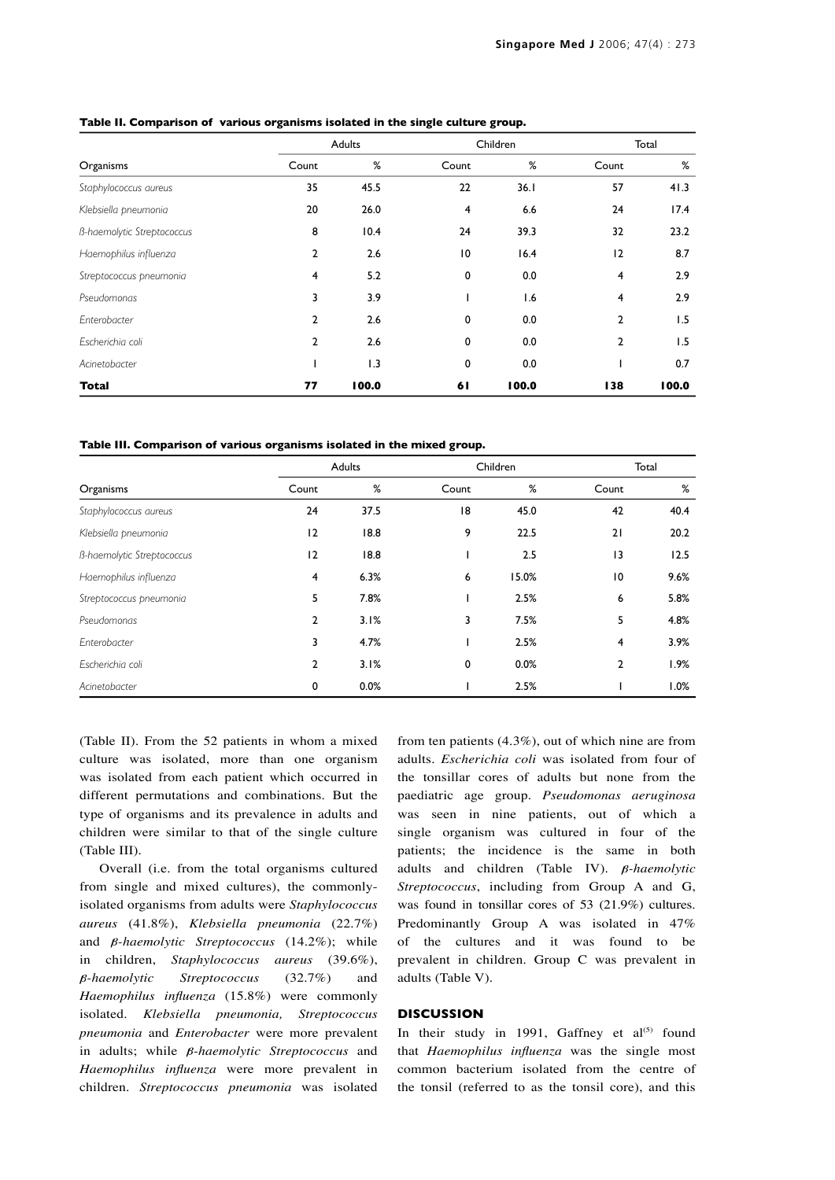|                                   |                | Adults |                 | Children |                | Total |
|-----------------------------------|----------------|--------|-----------------|----------|----------------|-------|
| Organisms                         | Count          | %      | Count           | %        | Count          | %     |
| Staphylococcus aureus             | 35             | 45.5   | 22              | 36.1     | 57             | 41.3  |
| Klebsiella pneumonia              | 20             | 26.0   | 4               | 6.6      | 24             | 17.4  |
| <b>B-haemolytic Streptococcus</b> | 8              | 10.4   | 24              | 39.3     | 32             | 23.2  |
| Haemophilus influenza             | $\overline{2}$ | 2.6    | $\overline{10}$ | 16.4     | 12             | 8.7   |
| Streptococcus pneumonia           | $\overline{4}$ | 5.2    | 0               | 0.0      | $\overline{4}$ | 2.9   |
| Pseudomonas                       | 3              | 3.9    |                 | 1.6      | $\overline{4}$ | 2.9   |
| Enterobacter                      | $\overline{2}$ | 2.6    | $\mathbf 0$     | 0.0      | $\mathbf{2}$   | 1.5   |
| Escherichia coli                  | $\overline{2}$ | 2.6    | 0               | 0.0      | 2              | 1.5   |
| Acinetobacter                     |                | 1.3    | 0               | 0.0      |                | 0.7   |
| Total                             | 77             | 100.0  | 61              | 100.0    | 138            | 100.0 |

**Table II. Comparison of various organisms isolated in the single culture group.**

**Table III. Comparison of various organisms isolated in the mixed group.**

|                                   | Adults         |      | Children |       | Total          |      |
|-----------------------------------|----------------|------|----------|-------|----------------|------|
| Organisms                         | Count          | %    | Count    | %     | Count          | %    |
| Staphylococcus aureus             | 24             | 37.5 | 18       | 45.0  | 42             | 40.4 |
| Klebsiella pneumonia              | 12             | 18.8 | 9        | 22.5  | 21             | 20.2 |
| <b>B-haemolytic Streptococcus</b> | 12             | 18.8 |          | 2.5   | 13             | 12.5 |
| Haemophilus influenza             | $\overline{4}$ | 6.3% | 6        | 15.0% | 10             | 9.6% |
| Streptococcus pneumonia           | 5              | 7.8% |          | 2.5%  | 6              | 5.8% |
| Pseudomonas                       | $\overline{2}$ | 3.1% | 3        | 7.5%  | 5              | 4.8% |
| Enterobacter                      | 3              | 4.7% |          | 2.5%  | $\overline{4}$ | 3.9% |
| Escherichia coli                  | $\mathbf{2}$   | 3.1% | 0        | 0.0%  | $\mathbf{2}$   | 1.9% |
| Acinetobacter                     | 0              | 0.0% |          | 2.5%  |                | 1.0% |

(Table II). From the 52 patients in whom a mixed culture was isolated, more than one organism was isolated from each patient which occurred in different permutations and combinations. But the type of organisms and its prevalence in adults and children were similar to that of the single culture (Table III).

Overall (i.e. from the total organisms cultured from single and mixed cultures), the commonlyisolated organisms from adults were *Staphylococcus aureus* (41.8%), *Klebsiella pneumonia* (22.7%) and  $\beta$ *-haemolytic Streptococcus* (14.2%); while in children, *Staphylococcus aureus* (39.6%), *-haemolytic Streptococcus* (32.7%) and *Haemophilus influenza* (15.8%) were commonly isolated. *Klebsiella pneumonia, Streptococcus pneumonia* and *Enterobacter* were more prevalent in adults; while  $\beta$ -haemolytic Streptococcus and *Haemophilus influenza* were more prevalent in children. *Streptococcus pneumonia* was isolated from ten patients (4.3%), out of which nine are from adults. *Escherichia coli* was isolated from four of the tonsillar cores of adults but none from the paediatric age group. *Pseudomonas aeruginosa* was seen in nine patients, out of which a single organism was cultured in four of the patients; the incidence is the same in both adults and children (Table IV).  $\beta$ *-haemolytic Streptococcus*, including from Group A and G, was found in tonsillar cores of 53 (21.9%) cultures. Predominantly Group A was isolated in 47% of the cultures and it was found to be prevalent in children. Group C was prevalent in adults (Table V).

## **DISCUSSION**

In their study in 1991, Gaffney et  $al^{(5)}$  found that *Haemophilus influenza* was the single most common bacterium isolated from the centre of the tonsil (referred to as the tonsil core), and this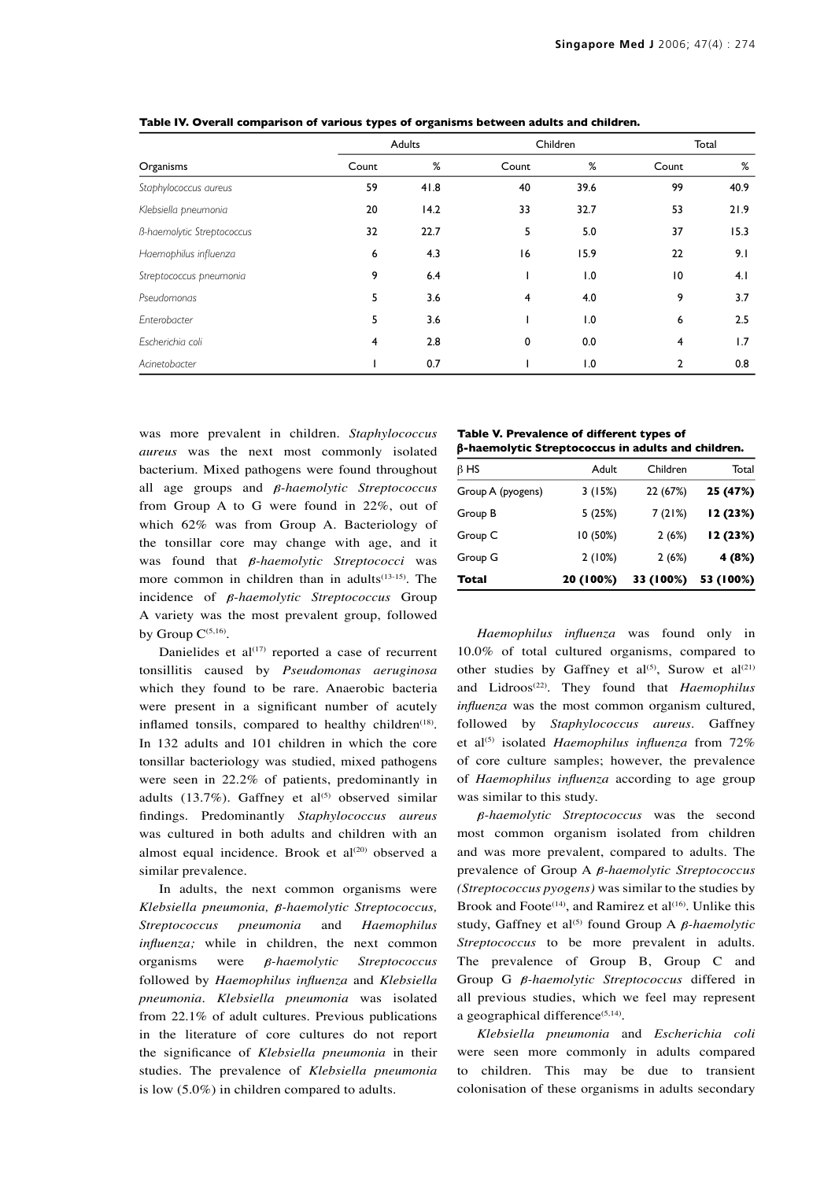|                                   |       | Adults |       | Children |                 | Total |
|-----------------------------------|-------|--------|-------|----------|-----------------|-------|
| Organisms                         | Count | %      | Count | %        | Count           | %     |
| Staphylococcus aureus             | 59    | 41.8   | 40    | 39.6     | 99              | 40.9  |
| Klebsiella pneumonia              | 20    | 14.2   | 33    | 32.7     | 53              | 21.9  |
| <b>B-haemolytic Streptococcus</b> | 32    | 22.7   | 5     | 5.0      | 37              | 15.3  |
| Haemophilus influenza             | 6     | 4.3    | 16    | 15.9     | 22              | 9.1   |
| Streptococcus pneumonia           | 9     | 6.4    |       | 1.0      | $\overline{10}$ | 4.1   |
| Pseudomonas                       | 5     | 3.6    | 4     | 4.0      | 9               | 3.7   |
| Enterobacter                      | 5     | 3.6    |       | 1.0      | 6               | 2.5   |
| Escherichia coli                  | 4     | 2.8    | 0     | 0.0      | 4               | 1.7   |
| Acinetobacter                     |       | 0.7    |       | 1.0      | 2               | 0.8   |

**Table IV. Overall comparison of various types of organisms between adults and children.**

was more prevalent in children. *Staphylococcus aureus* was the next most commonly isolated bacterium. Mixed pathogens were found throughout all age groups and  $\beta$ -haemolytic Streptococcus from Group A to G were found in 22%, out of which 62% was from Group A. Bacteriology of the tonsillar core may change with age, and it was found that  $\beta$ *-haemolytic Streptococci* was more common in children than in adults $(13-15)$ . The incidence of  $\beta$ *-haemolytic Streptococcus* Group A variety was the most prevalent group, followed by Group  $C^{(5,16)}$ .

Danielides et  $al^{(17)}$  reported a case of recurrent tonsillitis caused by *Pseudomonas aeruginosa* which they found to be rare. Anaerobic bacteria were present in a significant number of acutely inflamed tonsils, compared to healthy children<sup>(18)</sup>. In 132 adults and 101 children in which the core tonsillar bacteriology was studied, mixed pathogens were seen in 22.2% of patients, predominantly in adults (13.7%). Gaffney et al<sup>(5)</sup> observed similar findings. Predominantly *Staphylococcus aureus* was cultured in both adults and children with an almost equal incidence. Brook et  $al^{(20)}$  observed a similar prevalence.

In adults, the next common organisms were *Klebsiella pneumonia, β-haemolytic Streptococcus, Streptococcus pneumonia* and *Haemophilus influenza;* while in children, the next common organisms were *-haemolytic Streptococcus* followed by *Haemophilus influenza* and *Klebsiella pneumonia*. *Klebsiella pneumonia* was isolated from 22.1% of adult cultures. Previous publications in the literature of core cultures do not report the significance of *Klebsiella pneumonia* in their studies. The prevalence of *Klebsiella pneumonia* is low (5.0%) in children compared to adults.

**Table V. Prevalence of different types of**  β**-haemolytic Streptococcus in adults and children.**

| Total             | 20 (100%) | 33 (100%) | 53 (100%) |
|-------------------|-----------|-----------|-----------|
| Group G           | 2(10%)    | 2(6%)     | 4 (8%)    |
| Group C           | 10(50%)   | 2(6%)     | 12(23%)   |
| Group B           | 5 (25%)   | 7(21%)    | 12(23%)   |
| Group A (pyogens) | 3(15%)    | 22 (67%)  | 25 (47%)  |
| $\beta$ HS        | Adult     | Children  | Total     |

*Haemophilus influenza* was found only in 10.0% of total cultured organisms, compared to other studies by Gaffney et al<sup>(5)</sup>, Surow et al<sup>(21)</sup> and Lidroos(22). They found that *Haemophilus influenza* was the most common organism cultured, followed by *Staphylococcus aureus*. Gaffney et al<sup>(5)</sup> isolated *Haemophilus influenza* from 72% of core culture samples; however, the prevalence of *Haemophilus influenza* according to age group was similar to this study.

 $\beta$ -haemolytic Streptococcus was the second most common organism isolated from children and was more prevalent, compared to adults. The prevalence of Group A  $\beta$ -haemolytic Streptococcus *(Streptococcus pyogens)* was similar to the studies by Brook and Foote<sup> $(14)$ </sup>, and Ramirez et al<sup> $(16)$ </sup>. Unlike this study, Gaffney et al<sup>(5)</sup> found Group A  $\beta$ -haemolytic *Streptococcus* to be more prevalent in adults. The prevalence of Group B, Group C and Group G *β-haemolytic Streptococcus* differed in all previous studies, which we feel may represent a geographical difference $(5,14)$ .

*Klebsiella pneumonia* and *Escherichia coli*  were seen more commonly in adults compared to children. This may be due to transient colonisation of these organisms in adults secondary